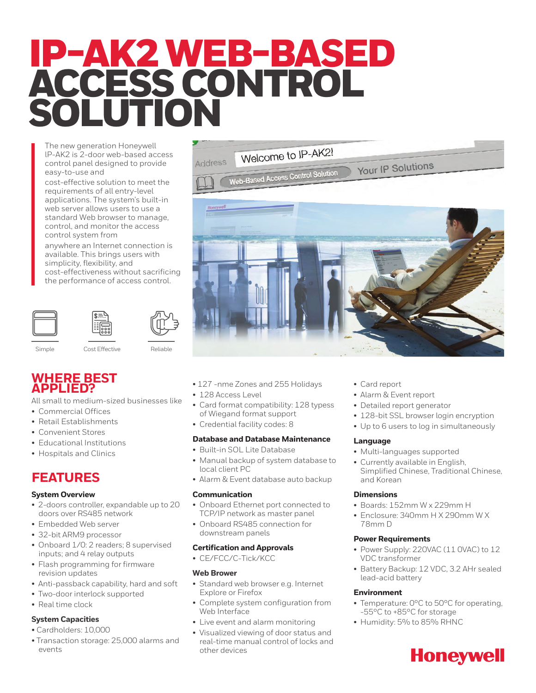# IP-AK2 WEB-BASED ACCESS CONTROL SOLUTION

The new generation Honeywell lP-AK2 is 2-door web-based access control panel designed to provide easy-to-use and

cost-effective solution to meet the requirements of all entry-level applications. The system's built-in web server allows users to use a standard Web browser to manage, control, and monitor the access control system from

anywhere an Internet connection is available. This brings users with simplicity, flexibility, and cost-effectiveness without sacrificing the performance of access control.





Simple Cost Effective Reliable

# **WHERE BEST APPLIED?**

All small to medium-sized businesses like

- Commercial Offices
- Retail Establishments
- Convenient Stores
- Educational Institutions
- Hospitals and Clinics

# **FEATURES**

# **System Overview**

- 2-doors controller, expandable up to 20 doors over RS485 network
- Embedded Web server
- 32-bit ARM9 processor
- Onboard 1/0: 2 readers; 8 supervised inputs; and 4 relay outputs
- Flash programming for firmware revision updates
- Anti-passback capability, hard and soft
- Two-door interlock supported
- Real time clock

# **System Capacities**

- Cardholders: 10,000
- Transaction storage: 25,000 alarms and events
- 127 -nme Zones and 255 Holidays
- 128 Access Level
- Card format compatibility: 128 typess of Wiegand format support
- Credential facility codes: 8

### **Database and Database Maintenance**

- Built-in SOL Lite Database
- Manual backup of system database to local client PC
- Alarm & Event database auto backup

### **Communication**

- Onboard Ethernet port connected to TCP/IP network as master panel
- Onboard RS485 connection for downstream panels

### **Certification and Approvals**

• CE/FCC/C-Tick/KCC

# **Web Brower**

- Standard web browser e.g. Internet Explore or Firefox
- Complete system configuration from Web Interface
- Live event and alarm monitoring
- Visualized viewing of door status and real-time manual control of locks and other devices
- Card report
- Alarm & Event report
- Detailed report generator
- 128-bit SSL browser login encryption
- Up to 6 users to log in simultaneously

# **Language**

- Multi-languages supported
- Currently available in English, Simplified Chinese, Traditional Chinese, and Korean

# **Dimensions**

- Boards: 152mm W x 229mm H
- Enclosure: 340mm H X 290mm W X 78mm D

# **Power Requirements**

- Power Supply: 220VAC (11 0VAC) to 12 VDC transformer
- Battery Backup: 12 VDC, 3.2 AHr sealed lead-acid battery

# **Environment**

- Temperature: 0°C to 50°C for operating, -55°C to +85°C for storage
- Humidity: 5% to 85% RHNC